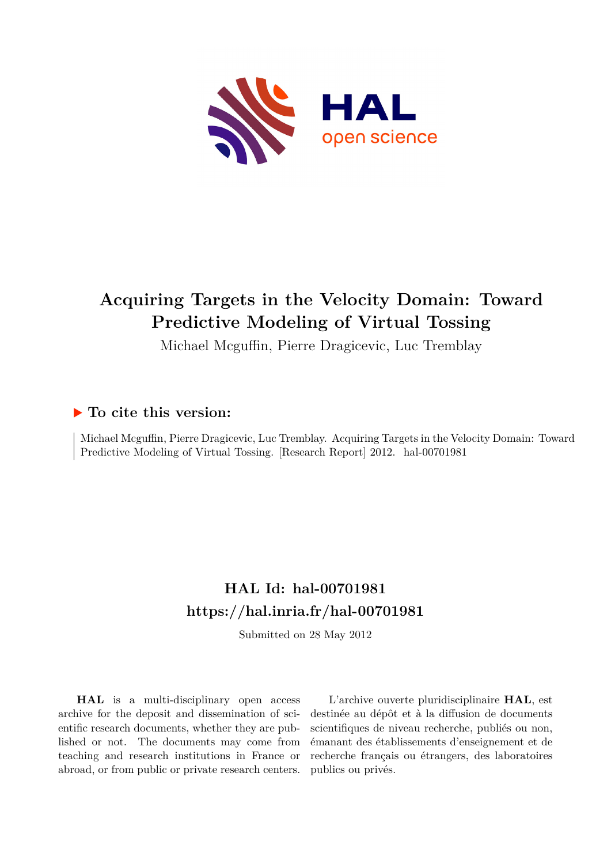

# **Acquiring Targets in the Velocity Domain: Toward Predictive Modeling of Virtual Tossing**

Michael Mcguffin, Pierre Dragicevic, Luc Tremblay

# **To cite this version:**

Michael Mcguffin, Pierre Dragicevic, Luc Tremblay. Acquiring Targets in the Velocity Domain: Toward Predictive Modeling of Virtual Tossing. [Research Report] 2012. hal-00701981

# **HAL Id: hal-00701981 <https://hal.inria.fr/hal-00701981>**

Submitted on 28 May 2012

**HAL** is a multi-disciplinary open access archive for the deposit and dissemination of scientific research documents, whether they are published or not. The documents may come from teaching and research institutions in France or abroad, or from public or private research centers.

L'archive ouverte pluridisciplinaire **HAL**, est destinée au dépôt et à la diffusion de documents scientifiques de niveau recherche, publiés ou non, émanant des établissements d'enseignement et de recherche français ou étrangers, des laboratoires publics ou privés.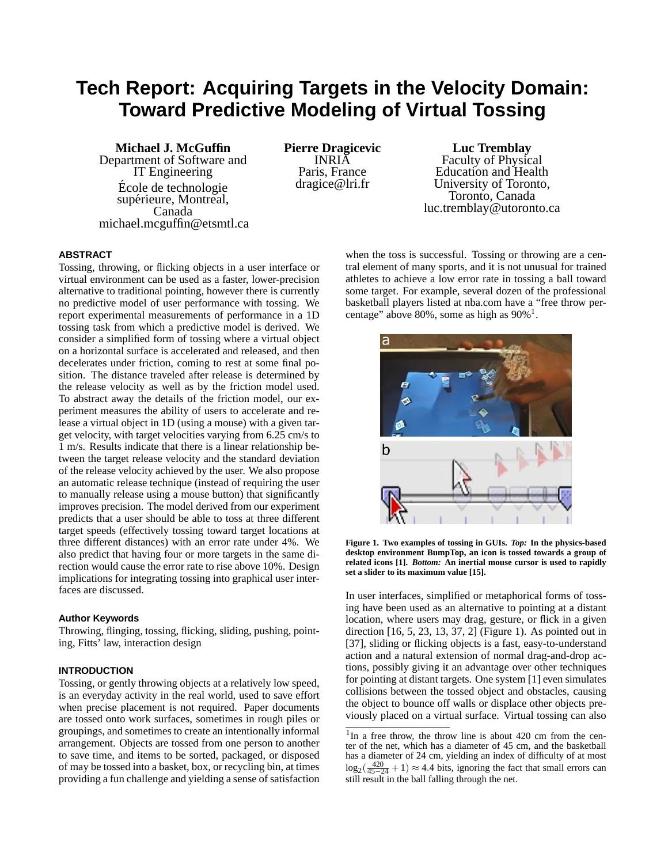# **Tech Report: Acquiring Targets in the Velocity Domain: Toward Predictive Modeling of Virtual Tossing**

**Michael J. McGuffin** Department of Software and IT Engineering Ecole de technologie ´ supérieure, Montreal, Canada michael.mcguffin@etsmtl.ca **Pierre Dragicevic** INRIA Paris, France dragice@lri.fr

**Luc Tremblay** Faculty of Physical Education and Health University of Toronto, Toronto, Canada luc.tremblay@utoronto.ca

# **ABSTRACT**

Tossing, throwing, or flicking objects in a user interface or virtual environment can be used as a faster, lower-precision alternative to traditional pointing, however there is currently no predictive model of user performance with tossing. We report experimental measurements of performance in a 1D tossing task from which a predictive model is derived. We consider a simplified form of tossing where a virtual object on a horizontal surface is accelerated and released, and then decelerates under friction, coming to rest at some final position. The distance traveled after release is determined by the release velocity as well as by the friction model used. To abstract away the details of the friction model, our experiment measures the ability of users to accelerate and release a virtual object in 1D (using a mouse) with a given target velocity, with target velocities varying from 6.25 cm/s to 1 m/s. Results indicate that there is a linear relationship between the target release velocity and the standard deviation of the release velocity achieved by the user. We also propose an automatic release technique (instead of requiring the user to manually release using a mouse button) that significantly improves precision. The model derived from our experiment predicts that a user should be able to toss at three different target speeds (effectively tossing toward target locations at three different distances) with an error rate under 4%. We also predict that having four or more targets in the same direction would cause the error rate to rise above 10%. Design implications for integrating tossing into graphical user interfaces are discussed.

#### **Author Keywords**

Throwing, flinging, tossing, flicking, sliding, pushing, pointing, Fitts' law, interaction design

### **INTRODUCTION**

Tossing, or gently throwing objects at a relatively low speed, is an everyday activity in the real world, used to save effort when precise placement is not required. Paper documents are tossed onto work surfaces, sometimes in rough piles or groupings, and sometimes to create an intentionally informal arrangement. Objects are tossed from one person to another to save time, and items to be sorted, packaged, or disposed of may be tossed into a basket, box, or recycling bin, at times providing a fun challenge and yielding a sense of satisfaction when the toss is successful. Tossing or throwing are a central element of many sports, and it is not unusual for trained athletes to achieve a low error rate in tossing a ball toward some target. For example, several dozen of the professional basketball players listed at nba.com have a "free throw percentage" above 80%, some as high as  $90\%$ <sup>1</sup>.



**Figure 1. Two examples of tossing in GUIs.** *Top:* **In the physics-based desktop environment BumpTop, an icon is tossed towards a group of related icons [1].** *Bottom:* **An inertial mouse cursor is used to rapidly set a slider to its maximum value [15].**

In user interfaces, simplified or metaphorical forms of tossing have been used as an alternative to pointing at a distant location, where users may drag, gesture, or flick in a given direction [16, 5, 23, 13, 37, 2] (Figure 1). As pointed out in [37], sliding or flicking objects is a fast, easy-to-understand action and a natural extension of normal drag-and-drop actions, possibly giving it an advantage over other techniques for pointing at distant targets. One system [1] even simulates collisions between the tossed object and obstacles, causing the object to bounce off walls or displace other objects previously placed on a virtual surface. Virtual tossing can also

<sup>&</sup>lt;sup>1</sup>In a free throw, the throw line is about 420 cm from the center of the net, which has a diameter of 45 cm, and the basketball has a diameter of 24 cm, yielding an index of difficulty of at most  $\log_2(\frac{420}{45-24}+1) \approx 4.4$  bits, ignoring the fact that small errors can still result in the ball falling through the net.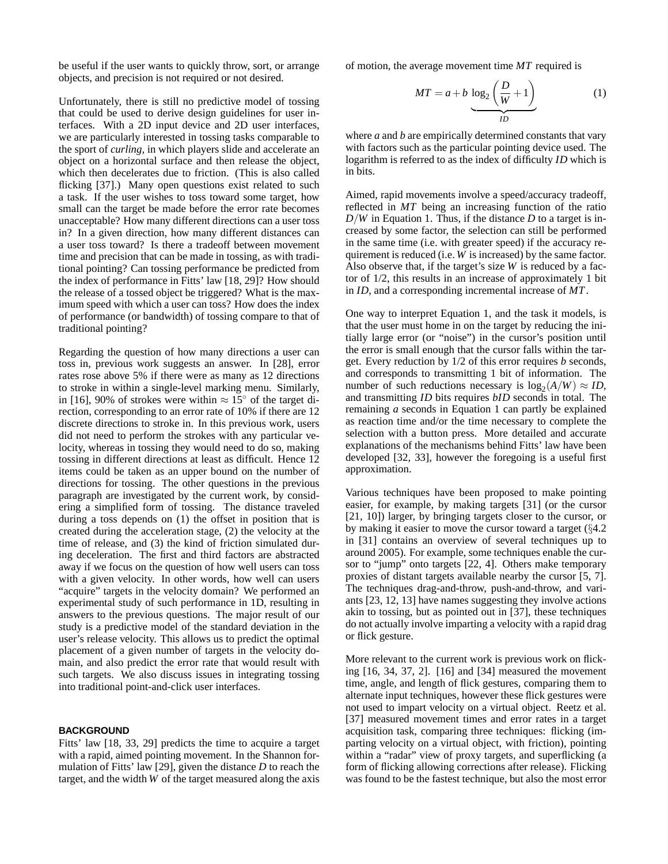be useful if the user wants to quickly throw, sort, or arrange objects, and precision is not required or not desired.

Unfortunately, there is still no predictive model of tossing that could be used to derive design guidelines for user interfaces. With a 2D input device and 2D user interfaces, we are particularly interested in tossing tasks comparable to the sport of *curling*, in which players slide and accelerate an object on a horizontal surface and then release the object, which then decelerates due to friction. (This is also called flicking [37].) Many open questions exist related to such a task. If the user wishes to toss toward some target, how small can the target be made before the error rate becomes unacceptable? How many different directions can a user toss in? In a given direction, how many different distances can a user toss toward? Is there a tradeoff between movement time and precision that can be made in tossing, as with traditional pointing? Can tossing performance be predicted from the index of performance in Fitts' law [18, 29]? How should the release of a tossed object be triggered? What is the maximum speed with which a user can toss? How does the index of performance (or bandwidth) of tossing compare to that of traditional pointing?

Regarding the question of how many directions a user can toss in, previous work suggests an answer. In [28], error rates rose above 5% if there were as many as 12 directions to stroke in within a single-level marking menu. Similarly, in [16], 90% of strokes were within  $\approx 15^{\circ}$  of the target direction, corresponding to an error rate of 10% if there are 12 discrete directions to stroke in. In this previous work, users did not need to perform the strokes with any particular velocity, whereas in tossing they would need to do so, making tossing in different directions at least as difficult. Hence 12 items could be taken as an upper bound on the number of directions for tossing. The other questions in the previous paragraph are investigated by the current work, by considering a simplified form of tossing. The distance traveled during a toss depends on (1) the offset in position that is created during the acceleration stage, (2) the velocity at the time of release, and (3) the kind of friction simulated during deceleration. The first and third factors are abstracted away if we focus on the question of how well users can toss with a given velocity. In other words, how well can users "acquire" targets in the velocity domain? We performed an experimental study of such performance in 1D, resulting in answers to the previous questions. The major result of our study is a predictive model of the standard deviation in the user's release velocity. This allows us to predict the optimal placement of a given number of targets in the velocity domain, and also predict the error rate that would result with such targets. We also discuss issues in integrating tossing into traditional point-and-click user interfaces.

#### **BACKGROUND**

Fitts' law [18, 33, 29] predicts the time to acquire a target with a rapid, aimed pointing movement. In the Shannon formulation of Fitts' law [29], given the distance *D* to reach the target, and the width *W* of the target measured along the axis of motion, the average movement time *MT* required is

$$
MT = a + b \underbrace{\log_2\left(\frac{D}{W} + 1\right)}_{ID} \tag{1}
$$

where *a* and *b* are empirically determined constants that vary with factors such as the particular pointing device used. The logarithm is referred to as the index of difficulty *ID* which is in bits.

Aimed, rapid movements involve a speed/accuracy tradeoff, reflected in *MT* being an increasing function of the ratio *D*/*W* in Equation 1. Thus, if the distance *D* to a target is increased by some factor, the selection can still be performed in the same time (i.e. with greater speed) if the accuracy requirement is reduced (i.e. *W* is increased) by the same factor. Also observe that, if the target's size *W* is reduced by a factor of 1/2, this results in an increase of approximately 1 bit in *ID*, and a corresponding incremental increase of *MT*.

One way to interpret Equation 1, and the task it models, is that the user must home in on the target by reducing the initially large error (or "noise") in the cursor's position until the error is small enough that the cursor falls within the target. Every reduction by 1/2 of this error requires *b* seconds, and corresponds to transmitting 1 bit of information. The number of such reductions necessary is  $\log_2(A/W) \approx ID$ , and transmitting *ID* bits requires *bID* seconds in total. The remaining *a* seconds in Equation 1 can partly be explained as reaction time and/or the time necessary to complete the selection with a button press. More detailed and accurate explanations of the mechanisms behind Fitts' law have been developed [32, 33], however the foregoing is a useful first approximation.

Various techniques have been proposed to make pointing easier, for example, by making targets [31] (or the cursor [21, 10]) larger, by bringing targets closer to the cursor, or by making it easier to move the cursor toward a target (§4.2 in [31] contains an overview of several techniques up to around 2005). For example, some techniques enable the cursor to "jump" onto targets [22, 4]. Others make temporary proxies of distant targets available nearby the cursor [5, 7]. The techniques drag-and-throw, push-and-throw, and variants [23, 12, 13] have names suggesting they involve actions akin to tossing, but as pointed out in [37], these techniques do not actually involve imparting a velocity with a rapid drag or flick gesture.

More relevant to the current work is previous work on flicking [16, 34, 37, 2]. [16] and [34] measured the movement time, angle, and length of flick gestures, comparing them to alternate input techniques, however these flick gestures were not used to impart velocity on a virtual object. Reetz et al. [37] measured movement times and error rates in a target acquisition task, comparing three techniques: flicking (imparting velocity on a virtual object, with friction), pointing within a "radar" view of proxy targets, and superflicking (a form of flicking allowing corrections after release). Flicking was found to be the fastest technique, but also the most error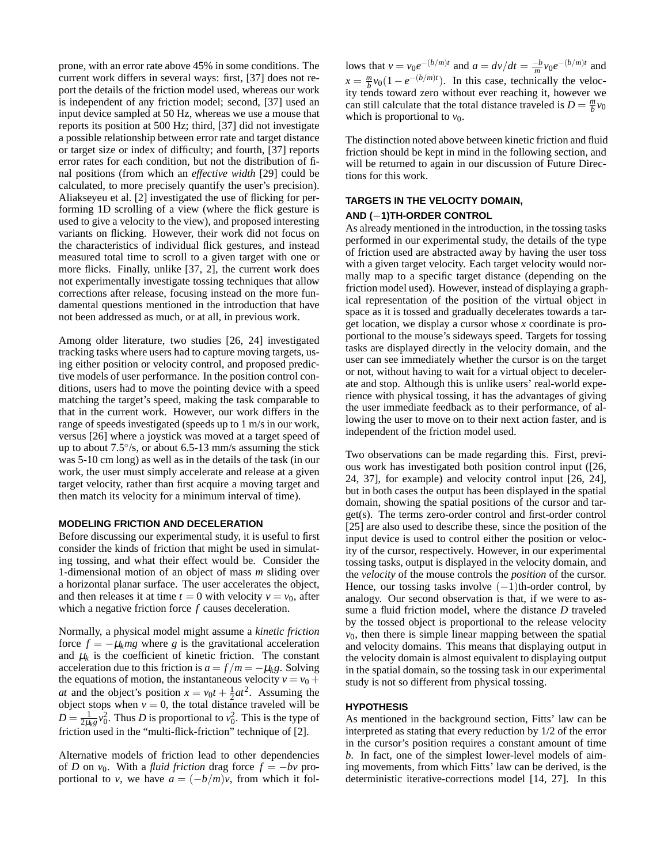prone, with an error rate above 45% in some conditions. The current work differs in several ways: first, [37] does not report the details of the friction model used, whereas our work is independent of any friction model; second, [37] used an input device sampled at 50 Hz, whereas we use a mouse that reports its position at 500 Hz; third, [37] did not investigate a possible relationship between error rate and target distance or target size or index of difficulty; and fourth, [37] reports error rates for each condition, but not the distribution of final positions (from which an *effective width* [29] could be calculated, to more precisely quantify the user's precision). Aliakseyeu et al. [2] investigated the use of flicking for performing 1D scrolling of a view (where the flick gesture is used to give a velocity to the view), and proposed interesting variants on flicking. However, their work did not focus on the characteristics of individual flick gestures, and instead measured total time to scroll to a given target with one or more flicks. Finally, unlike [37, 2], the current work does not experimentally investigate tossing techniques that allow corrections after release, focusing instead on the more fundamental questions mentioned in the introduction that have not been addressed as much, or at all, in previous work.

Among older literature, two studies [26, 24] investigated tracking tasks where users had to capture moving targets, using either position or velocity control, and proposed predictive models of user performance. In the position control conditions, users had to move the pointing device with a speed matching the target's speed, making the task comparable to that in the current work. However, our work differs in the range of speeds investigated (speeds up to 1 m/s in our work, versus [26] where a joystick was moved at a target speed of up to about  $7.5\%$ , or about 6.5-13 mm/s assuming the stick was 5-10 cm long) as well as in the details of the task (in our work, the user must simply accelerate and release at a given target velocity, rather than first acquire a moving target and then match its velocity for a minimum interval of time).

#### **MODELING FRICTION AND DECELERATION**

Before discussing our experimental study, it is useful to first consider the kinds of friction that might be used in simulating tossing, and what their effect would be. Consider the 1-dimensional motion of an object of mass *m* sliding over a horizontal planar surface. The user accelerates the object, and then releases it at time  $t = 0$  with velocity  $v = v_0$ , after which a negative friction force *f* causes deceleration.

Normally, a physical model might assume a *kinetic friction* force  $f = -\mu_k mg$  where g is the gravitational acceleration and  $\mu_k$  is the coefficient of kinetic friction. The constant acceleration due to this friction is  $a = f/m = -\mu_k g$ . Solving the equations of motion, the instantaneous velocity  $v = v_0 +$ *at* and the object's position  $x = v_0 t + \frac{1}{2} a t^2$ . Assuming the  $\omega$  and the object s position  $x - v_0 t + \frac{1}{2} \omega$ . Assuming the object stops when  $v = 0$ , the total distance traveled will be  $D = \frac{1}{2\mu_k g} v_0^2$ . Thus *D* is proportional to  $v_0^2$ . This is the type of friction used in the "multi-flick-friction" technique of [2].

Alternative models of friction lead to other dependencies of *D* on  $v_0$ . With a *fluid friction* drag force  $f = -bv$  proportional to *v*, we have  $a = (-b/m)v$ , from which it fol-

lows that  $v = v_0 e^{-(b/m)t}$  and  $a = dv/dt = \frac{-b}{m} v_0 e^{-(b/m)t}$  and  $x = \frac{m}{b}v_0(1 - e^{-(b/m)t})$ . In this case, technically the velocity tends toward zero without ever reaching it, however we can still calculate that the total distance traveled is  $D = \frac{m}{b}v_0$ which is proportional to  $v_0$ .

The distinction noted above between kinetic friction and fluid friction should be kept in mind in the following section, and will be returned to again in our discussion of Future Directions for this work.

# **TARGETS IN THE VELOCITY DOMAIN, AND (**−**1)TH-ORDER CONTROL**

As already mentioned in the introduction, in the tossing tasks performed in our experimental study, the details of the type of friction used are abstracted away by having the user toss with a given target velocity. Each target velocity would normally map to a specific target distance (depending on the friction model used). However, instead of displaying a graphical representation of the position of the virtual object in space as it is tossed and gradually decelerates towards a target location, we display a cursor whose *x* coordinate is proportional to the mouse's sideways speed. Targets for tossing tasks are displayed directly in the velocity domain, and the user can see immediately whether the cursor is on the target or not, without having to wait for a virtual object to decelerate and stop. Although this is unlike users' real-world experience with physical tossing, it has the advantages of giving the user immediate feedback as to their performance, of allowing the user to move on to their next action faster, and is independent of the friction model used.

Two observations can be made regarding this. First, previous work has investigated both position control input ([26, 24, 37], for example) and velocity control input [26, 24], but in both cases the output has been displayed in the spatial domain, showing the spatial positions of the cursor and target(s). The terms zero-order control and first-order control [25] are also used to describe these, since the position of the input device is used to control either the position or velocity of the cursor, respectively. However, in our experimental tossing tasks, output is displayed in the velocity domain, and the *velocity* of the mouse controls the *position* of the cursor. Hence, our tossing tasks involve  $(-1)$ th-order control, by analogy. Our second observation is that, if we were to assume a fluid friction model, where the distance *D* traveled by the tossed object is proportional to the release velocity  $v<sub>0</sub>$ , then there is simple linear mapping between the spatial and velocity domains. This means that displaying output in the velocity domain is almost equivalent to displaying output in the spatial domain, so the tossing task in our experimental study is not so different from physical tossing.

### **HYPOTHESIS**

As mentioned in the background section, Fitts' law can be interpreted as stating that every reduction by 1/2 of the error in the cursor's position requires a constant amount of time *b*. In fact, one of the simplest lower-level models of aiming movements, from which Fitts' law can be derived, is the deterministic iterative-corrections model [14, 27]. In this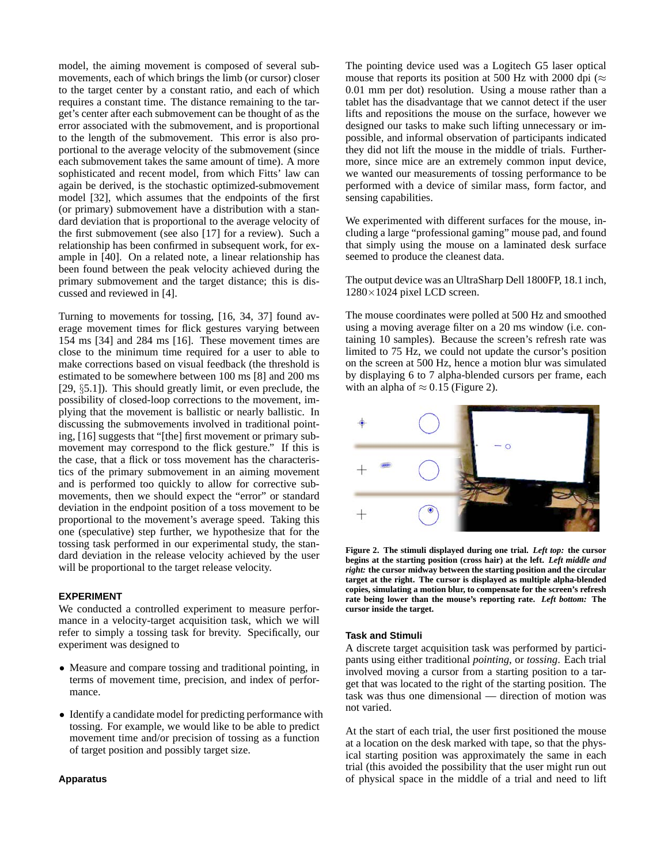model, the aiming movement is composed of several submovements, each of which brings the limb (or cursor) closer to the target center by a constant ratio, and each of which requires a constant time. The distance remaining to the target's center after each submovement can be thought of as the error associated with the submovement, and is proportional to the length of the submovement. This error is also proportional to the average velocity of the submovement (since each submovement takes the same amount of time). A more sophisticated and recent model, from which Fitts' law can again be derived, is the stochastic optimized-submovement model [32], which assumes that the endpoints of the first (or primary) submovement have a distribution with a standard deviation that is proportional to the average velocity of the first submovement (see also [17] for a review). Such a relationship has been confirmed in subsequent work, for example in [40]. On a related note, a linear relationship has been found between the peak velocity achieved during the primary submovement and the target distance; this is discussed and reviewed in [4].

Turning to movements for tossing, [16, 34, 37] found average movement times for flick gestures varying between 154 ms [34] and 284 ms [16]. These movement times are close to the minimum time required for a user to able to make corrections based on visual feedback (the threshold is estimated to be somewhere between 100 ms [8] and 200 ms [29, §5.1]). This should greatly limit, or even preclude, the possibility of closed-loop corrections to the movement, implying that the movement is ballistic or nearly ballistic. In discussing the submovements involved in traditional pointing, [16] suggests that "[the] first movement or primary submovement may correspond to the flick gesture." If this is the case, that a flick or toss movement has the characteristics of the primary submovement in an aiming movement and is performed too quickly to allow for corrective submovements, then we should expect the "error" or standard deviation in the endpoint position of a toss movement to be proportional to the movement's average speed. Taking this one (speculative) step further, we hypothesize that for the tossing task performed in our experimental study, the standard deviation in the release velocity achieved by the user will be proportional to the target release velocity.

# **EXPERIMENT**

We conducted a controlled experiment to measure performance in a velocity-target acquisition task, which we will refer to simply a tossing task for brevity. Specifically, our experiment was designed to

- Measure and compare tossing and traditional pointing, in terms of movement time, precision, and index of performance.
- Identify a candidate model for predicting performance with tossing. For example, we would like to be able to predict movement time and/or precision of tossing as a function of target position and possibly target size.

**Apparatus**

The pointing device used was a Logitech G5 laser optical mouse that reports its position at 500 Hz with 2000 dpi ( $\approx$ 0.01 mm per dot) resolution. Using a mouse rather than a tablet has the disadvantage that we cannot detect if the user lifts and repositions the mouse on the surface, however we designed our tasks to make such lifting unnecessary or impossible, and informal observation of participants indicated they did not lift the mouse in the middle of trials. Furthermore, since mice are an extremely common input device, we wanted our measurements of tossing performance to be performed with a device of similar mass, form factor, and sensing capabilities.

We experimented with different surfaces for the mouse, including a large "professional gaming" mouse pad, and found that simply using the mouse on a laminated desk surface seemed to produce the cleanest data.

The output device was an UltraSharp Dell 1800FP, 18.1 inch, 1280×1024 pixel LCD screen.

The mouse coordinates were polled at 500 Hz and smoothed using a moving average filter on a 20 ms window (i.e. containing 10 samples). Because the screen's refresh rate was limited to 75 Hz, we could not update the cursor's position on the screen at 500 Hz, hence a motion blur was simulated by displaying 6 to 7 alpha-blended cursors per frame, each with an alpha of  $\approx 0.15$  (Figure 2).



**Figure 2. The stimuli displayed during one trial.** *Left top:* **the cursor begins at the starting position (cross hair) at the left.** *Left middle and right:* **the cursor midway between the starting position and the circular target at the right. The cursor is displayed as multiple alpha-blended copies, simulating a motion blur, to compensate for the screen's refresh rate being lower than the mouse's reporting rate.** *Left bottom:* **The cursor inside the target.**

#### **Task and Stimuli**

A discrete target acquisition task was performed by participants using either traditional *pointing*, or *tossing*. Each trial involved moving a cursor from a starting position to a target that was located to the right of the starting position. The task was thus one dimensional — direction of motion was not varied.

At the start of each trial, the user first positioned the mouse at a location on the desk marked with tape, so that the physical starting position was approximately the same in each trial (this avoided the possibility that the user might run out of physical space in the middle of a trial and need to lift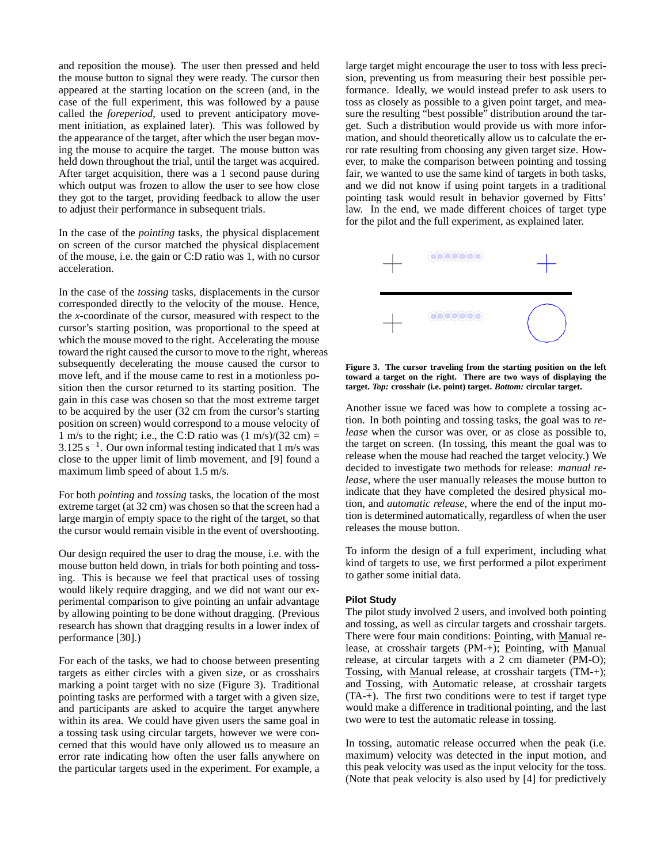and reposition the mouse). The user then pressed and held the mouse button to signal they were ready. The cursor then appeared at the starting location on the screen (and, in the case of the full experiment, this was followed by a pause called the *foreperiod*, used to prevent anticipatory movement initiation, as explained later). This was followed by the appearance of the target, after which the user began moving the mouse to acquire the target. The mouse button was held down throughout the trial, until the target was acquired. After target acquisition, there was a 1 second pause during which output was frozen to allow the user to see how close they got to the target, providing feedback to allow the user to adjust their performance in subsequent trials.

In the case of the *pointing* tasks, the physical displacement on screen of the cursor matched the physical displacement of the mouse, i.e. the gain or C:D ratio was 1, with no cursor acceleration.

In the case of the *tossing* tasks, displacements in the cursor corresponded directly to the velocity of the mouse. Hence, the *x*-coordinate of the cursor, measured with respect to the cursor's starting position, was proportional to the speed at which the mouse moved to the right. Accelerating the mouse toward the right caused the cursor to move to the right, whereas subsequently decelerating the mouse caused the cursor to move left, and if the mouse came to rest in a motionless position then the cursor returned to its starting position. The gain in this case was chosen so that the most extreme target to be acquired by the user (32 cm from the cursor's starting position on screen) would correspond to a mouse velocity of 1 m/s to the right; i.e., the C:D ratio was  $(1 \text{ m/s})/(32 \text{ cm}) =$  $3.125$  s<sup>-1</sup>. Our own informal testing indicated that 1 m/s was close to the upper limit of limb movement, and [9] found a maximum limb speed of about 1.5 m/s.

For both *pointing* and *tossing* tasks, the location of the most extreme target (at 32 cm) was chosen so that the screen had a large margin of empty space to the right of the target, so that the cursor would remain visible in the event of overshooting.

Our design required the user to drag the mouse, i.e. with the mouse button held down, in trials for both pointing and tossing. This is because we feel that practical uses of tossing would likely require dragging, and we did not want our experimental comparison to give pointing an unfair advantage by allowing pointing to be done without dragging. (Previous research has shown that dragging results in a lower index of performance [30].)

For each of the tasks, we had to choose between presenting targets as either circles with a given size, or as crosshairs marking a point target with no size (Figure 3). Traditional pointing tasks are performed with a target with a given size, and participants are asked to acquire the target anywhere within its area. We could have given users the same goal in a tossing task using circular targets, however we were concerned that this would have only allowed us to measure an error rate indicating how often the user falls anywhere on the particular targets used in the experiment. For example, a large target might encourage the user to toss with less precision, preventing us from measuring their best possible performance. Ideally, we would instead prefer to ask users to toss as closely as possible to a given point target, and measure the resulting "best possible" distribution around the target. Such a distribution would provide us with more information, and should theoretically allow us to calculate the error rate resulting from choosing any given target size. However, to make the comparison between pointing and tossing fair, we wanted to use the same kind of targets in both tasks, and we did not know if using point targets in a traditional pointing task would result in behavior governed by Fitts' law. In the end, we made different choices of target type for the pilot and the full experiment, as explained later.



**Figure 3. The cursor traveling from the starting position on the left toward a target on the right. There are two ways of displaying the target.** *Top:* **crosshair (i.e. point) target.** *Bottom:* **circular target.**

Another issue we faced was how to complete a tossing action. In both pointing and tossing tasks, the goal was to *release* when the cursor was over, or as close as possible to, the target on screen. (In tossing, this meant the goal was to release when the mouse had reached the target velocity.) We decided to investigate two methods for release: *manual release*, where the user manually releases the mouse button to indicate that they have completed the desired physical motion, and *automatic release*, where the end of the input motion is determined automatically, regardless of when the user releases the mouse button.

To inform the design of a full experiment, including what kind of targets to use, we first performed a pilot experiment to gather some initial data.

### **Pilot Study**

The pilot study involved 2 users, and involved both pointing and tossing, as well as circular targets and crosshair targets. There were four main conditions: Pointing, with Manual release, at crosshair targets (PM-+); Pointing, with Manual release, at circular targets with a 2 cm diameter (PM-O); Tossing, with Manual release, at crosshair targets (TM-+); and Tossing, with Automatic release, at crosshair targets (TA-+). The first two conditions were to test if target type would make a difference in traditional pointing, and the last two were to test the automatic release in tossing.

In tossing, automatic release occurred when the peak (i.e. maximum) velocity was detected in the input motion, and this peak velocity was used as the input velocity for the toss. (Note that peak velocity is also used by [4] for predictively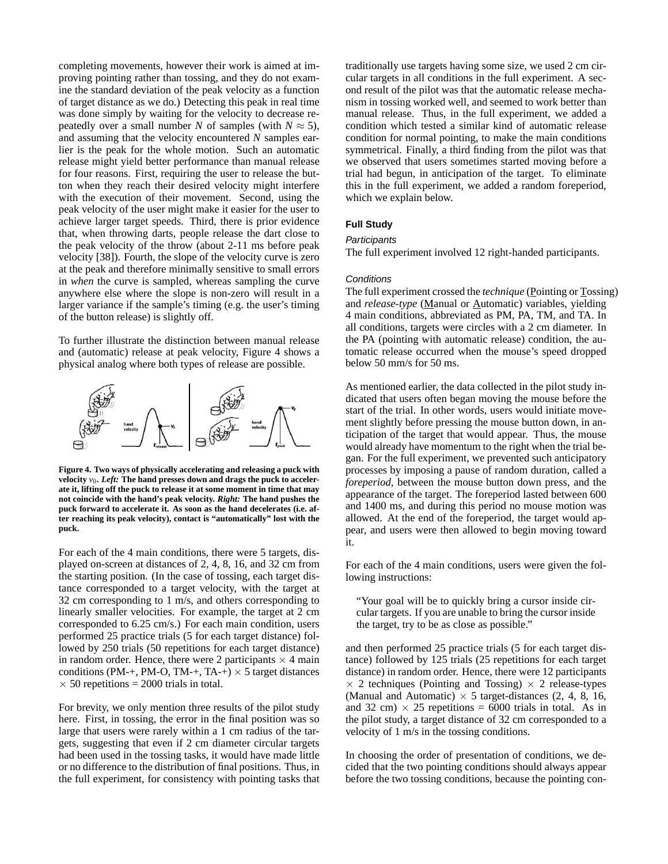completing movements, however their work is aimed at improving pointing rather than tossing, and they do not examine the standard deviation of the peak velocity as a function of target distance as we do.) Detecting this peak in real time was done simply by waiting for the velocity to decrease repeatedly over a small number *N* of samples (with  $N \approx 5$ ), and assuming that the velocity encountered *N* samples earlier is the peak for the whole motion. Such an automatic release might yield better performance than manual release for four reasons. First, requiring the user to release the button when they reach their desired velocity might interfere with the execution of their movement. Second, using the peak velocity of the user might make it easier for the user to achieve larger target speeds. Third, there is prior evidence that, when throwing darts, people release the dart close to the peak velocity of the throw (about 2-11 ms before peak velocity [38]). Fourth, the slope of the velocity curve is zero at the peak and therefore minimally sensitive to small errors in *when* the curve is sampled, whereas sampling the curve anywhere else where the slope is non-zero will result in a larger variance if the sample's timing (e.g. the user's timing of the button release) is slightly off.

To further illustrate the distinction between manual release and (automatic) release at peak velocity, Figure 4 shows a physical analog where both types of release are possible.



**Figure 4. Two ways of physically accelerating and releasing a puck with** velocity  $v_0$ . Left: The hand presses down and drags the puck to acceler**ate it, lifting off the puck to release it at some moment in time that may not coincide with the hand's peak velocity.** *Right:* **The hand pushes the puck forward to accelerate it. As soon as the hand decelerates (i.e. after reaching its peak velocity), contact is "automatically" lost with the puck.**

For each of the 4 main conditions, there were 5 targets, displayed on-screen at distances of 2, 4, 8, 16, and 32 cm from the starting position. (In the case of tossing, each target distance corresponded to a target velocity, with the target at 32 cm corresponding to 1 m/s, and others corresponding to linearly smaller velocities. For example, the target at 2 cm corresponded to 6.25 cm/s.) For each main condition, users performed 25 practice trials (5 for each target distance) followed by 250 trials (50 repetitions for each target distance) in random order. Hence, there were 2 participants  $\times$  4 main conditions (PM-+, PM-O, TM-+, TA-+)  $\times$  5 target distances  $\times$  50 repetitions = 2000 trials in total.

For brevity, we only mention three results of the pilot study here. First, in tossing, the error in the final position was so large that users were rarely within a 1 cm radius of the targets, suggesting that even if 2 cm diameter circular targets had been used in the tossing tasks, it would have made little or no difference to the distribution of final positions. Thus, in the full experiment, for consistency with pointing tasks that traditionally use targets having some size, we used 2 cm circular targets in all conditions in the full experiment. A second result of the pilot was that the automatic release mechanism in tossing worked well, and seemed to work better than manual release. Thus, in the full experiment, we added a condition which tested a similar kind of automatic release condition for normal pointing, to make the main conditions symmetrical. Finally, a third finding from the pilot was that we observed that users sometimes started moving before a trial had begun, in anticipation of the target. To eliminate this in the full experiment, we added a random foreperiod, which we explain below.

#### **Full Study**

#### **Participants**

The full experiment involved 12 right-handed participants.

#### **Conditions**

The full experiment crossed the *technique* (Pointing or Tossing) and *release-type* (Manual or Automatic) variables, yielding 4 main conditions, abbreviated as PM, PA, TM, and TA. In all conditions, targets were circles with a 2 cm diameter. In the PA (pointing with automatic release) condition, the automatic release occurred when the mouse's speed dropped below 50 mm/s for 50 ms.

As mentioned earlier, the data collected in the pilot study indicated that users often began moving the mouse before the start of the trial. In other words, users would initiate movement slightly before pressing the mouse button down, in anticipation of the target that would appear. Thus, the mouse would already have momentum to the right when the trial began. For the full experiment, we prevented such anticipatory processes by imposing a pause of random duration, called a *foreperiod*, between the mouse button down press, and the appearance of the target. The foreperiod lasted between 600 and 1400 ms, and during this period no mouse motion was allowed. At the end of the foreperiod, the target would appear, and users were then allowed to begin moving toward it.

For each of the 4 main conditions, users were given the following instructions:

"Your goal will be to quickly bring a cursor inside circular targets. If you are unable to bring the cursor inside the target, try to be as close as possible."

and then performed 25 practice trials (5 for each target distance) followed by 125 trials (25 repetitions for each target distance) in random order. Hence, there were 12 participants  $\times$  2 techniques (Pointing and Tossing)  $\times$  2 release-types (Manual and Automatic)  $\times$  5 target-distances (2, 4, 8, 16, and 32 cm)  $\times$  25 repetitions = 6000 trials in total. As in the pilot study, a target distance of 32 cm corresponded to a velocity of 1 m/s in the tossing conditions.

In choosing the order of presentation of conditions, we decided that the two pointing conditions should always appear before the two tossing conditions, because the pointing con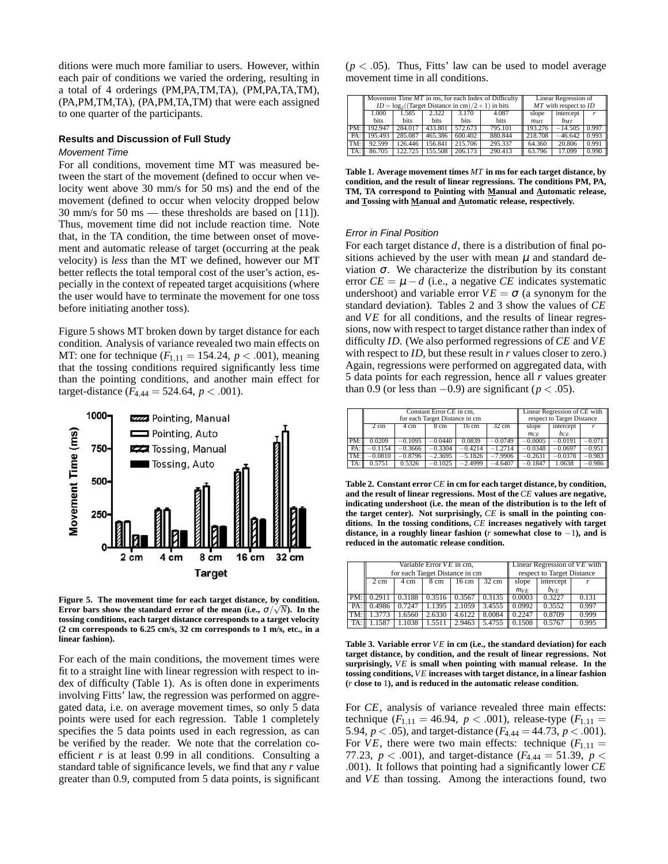ditions were much more familiar to users. However, within each pair of conditions we varied the ordering, resulting in a total of 4 orderings (PM,PA,TM,TA), (PM,PA,TA,TM), (PA,PM,TM,TA), (PA,PM,TA,TM) that were each assigned to one quarter of the participants.

# **Results and Discussion of Full Study**

#### Movement Time

For all conditions, movement time MT was measured between the start of the movement (defined to occur when velocity went above 30 mm/s for 50 ms) and the end of the movement (defined to occur when velocity dropped below 30 mm/s for 50 ms — these thresholds are based on [11]). Thus, movement time did not include reaction time. Note that, in the TA condition, the time between onset of movement and automatic release of target (occurring at the peak velocity) is *less* than the MT we defined, however our MT better reflects the total temporal cost of the user's action, especially in the context of repeated target acquisitions (where the user would have to terminate the movement for one toss before initiating another toss).

Figure 5 shows MT broken down by target distance for each condition. Analysis of variance revealed two main effects on MT: one for technique  $(F_{1,11} = 154.24, p < .001)$ , meaning that the tossing conditions required significantly less time than the pointing conditions, and another main effect for target-distance  $(F_{4,44} = 524.64, p < .001)$ .



**Figure 5. The movement time for each target distance, by condition. Error bars show the standard error of the mean (i.e.,**  $\sigma / \sqrt{N}$ **). In the tossing conditions, each target distance corresponds to a target velocity (2 cm corresponds to 6.25 cm/s, 32 cm corresponds to 1 m/s, etc., in a linear fashion).**

For each of the main conditions, the movement times were fit to a straight line with linear regression with respect to index of difficulty (Table 1). As is often done in experiments involving Fitts' law, the regression was performed on aggregated data, i.e. on average movement times, so only 5 data points were used for each regression. Table 1 completely specifies the 5 data points used in each regression, as can be verified by the reader. We note that the correlation coefficient  $r$  is at least  $0.99$  in all conditions. Consulting a standard table of significance levels, we find that any *r* value greater than 0.9, computed from 5 data points, is significant

 $(p < .05)$ . Thus, Fitts' law can be used to model average movement time in all conditions.

|     | Movement Time $MT$ in ms, for each Index of Difficulty<br>$ID = \log_2((\text{Target Distance in cm})/2 + 1)$ in bits |         |         |             |             | Linear Regression of<br>$MT$ with respect to $ID$ |           |       |
|-----|-----------------------------------------------------------------------------------------------------------------------|---------|---------|-------------|-------------|---------------------------------------------------|-----------|-------|
|     |                                                                                                                       |         |         |             |             |                                                   |           |       |
|     | 1.000                                                                                                                 | 1.585   | 2.322   | 3.170       | 4.087       | slope                                             | intercept |       |
|     | <b>bits</b>                                                                                                           | bits    | bits    | <b>bits</b> | <b>bits</b> | $m_{MT}$                                          | $b_{MT}$  |       |
| PM: | 192.947                                                                                                               | 284.017 | 433.801 | 572.673     | 795.101     | 193.276                                           | $-14.505$ | 0.997 |
| PA: | 195.493                                                                                                               | 285.087 | 465.386 | 600.402     | 880.844     | 218,708                                           | $-46.642$ | 0.993 |
| TM: | 92.599                                                                                                                | 126.446 | 156.841 | 215.706     | 295.337     | 64.360                                            | 20.806    | 0.991 |
| TA: | 86.705                                                                                                                | 122.725 | 155.508 | 206.173     | 290.413     | 63.796                                            | 17.099    | 0.990 |

**Table 1. Average movement times** *MT* **in ms for each target distance, by condition, and the result of linear regressions. The conditions PM, PA, TM, TA correspond to Pointing with Manual and Automatic release, and Tossing with Manual and Automatic release, respectively.**

#### Error in Final Position

For each target distance *d*, there is a distribution of final positions achieved by the user with mean  $\mu$  and standard deviation <sup>σ</sup>. We characterize the distribution by its constant error  $CE = \mu - d$  (i.e., a negative *CE* indicates systematic undershoot) and variable error  $VE = \sigma$  (a synonym for the standard deviation). Tables 2 and 3 show the values of *CE* and *VE* for all conditions, and the results of linear regressions, now with respect to target distance rather than index of difficulty *ID*. (We also performed regressions of *CE* and *VE* with respect to *ID*, but these result in *r* values closer to zero.) Again, regressions were performed on aggregated data, with 5 data points for each regression, hence all *r* values greater than 0.9 (or less than  $-0.9$ ) are significant ( $p < .05$ ).

|     | Constant Error CE in cm.       |           |           |           |                 | Linear Regression of CE with |           |          |  |
|-----|--------------------------------|-----------|-----------|-----------|-----------------|------------------------------|-----------|----------|--|
|     | for each Target Distance in cm |           |           |           |                 | respect to Target Distance   |           |          |  |
|     | 2 cm                           | 4 cm      | 8 cm      | 16 cm     | $32 \text{ cm}$ | slope                        | intercept |          |  |
|     |                                |           |           |           |                 | $m_{CE}$                     | $b_{CE}$  |          |  |
| PM: | 0.0209                         | $-0.1095$ | $-0.0440$ | 0.0839    | $-0.0749$       | $-0.0005$                    | $-0.0191$ | $-0.071$ |  |
| PA: | $-0.1154$                      | $-0.3666$ | $-0.3304$ | $-0.4214$ | $-1.2714$       | $-0.0348$                    | $-0.0697$ | $-0.951$ |  |
| TM: | $-0.0810$                      | $-0.8796$ | $-2.3695$ | $-5.1826$ | $-7.9906$       | $-0.2631$                    | $-0.0378$ | $-0.983$ |  |
| TA: | 0.5751                         | 0.5326    | $-0.1025$ | $-2.4999$ | $-4.6407$       | $-0.1847$                    | 1.0638    | $-0.986$ |  |
|     |                                |           |           |           |                 |                              |           |          |  |

**Table 2. Constant error***CE* **in cm for each target distance, by condition, and the result of linear regressions. Most of the** *CE* **values are negative, indicating undershoot (i.e. the mean of the distribution is to the left of the target center). Not surprisingly,** *CE* **is small in the pointing conditions. In the tossing conditions,** *CE* **increases negatively with target distance, in a roughly linear fashion (***r* **somewhat close to** −1**), and is reduced in the automatic release condition.**

|     | Variable Error $VE$ in cm,     |        |        |        |                 | Linear Regression of $VE$ with $\parallel$ |           |       |  |
|-----|--------------------------------|--------|--------|--------|-----------------|--------------------------------------------|-----------|-------|--|
|     | for each Target Distance in cm |        |        |        |                 | respect to Target Distance                 |           |       |  |
|     | $2 \text{ cm}$                 | 4 cm   | 8 cm   | 16 cm  | $32 \text{ cm}$ | slope                                      | intercept |       |  |
|     |                                |        |        |        |                 | $m_{VE}$                                   | $b_{VE}$  |       |  |
| PM: | 0.2911                         | 0.3188 | 0.3516 | 0.3567 | 0.3135          | 0.0003                                     | 0.3227    | 0.131 |  |
| PA: | 0.4986                         | 0.7247 | 1.1395 | 2.1059 | 3.4555          | 0.0992                                     | 0.3552    | 0.997 |  |
| TM: | .3773                          | 1.6560 | 2.6330 | 4.6122 | 8.0084          | 0.2247                                     | 0.8709    | 0.999 |  |
| TA: | .1587                          | 1.1038 | 1.5511 | 2.9463 | 5.4755          | 0.1508                                     | 0.5767    | 0.995 |  |

**Table 3. Variable error** *VE* **in cm (i.e., the standard deviation) for each target distance, by condition, and the result of linear regressions. Not** surprisingly,  $VE$  is small when pointing with manual release. In the **tossing conditions,** *V E* **increases with target distance, in a linear fashion (***r* **close to** 1**), and is reduced in the automatic release condition.**

For *CE*, analysis of variance revealed three main effects: technique ( $F_{1,11} = 46.94$ ,  $p < .001$ ), release-type ( $F_{1,11} =$ 5.94,  $p < .05$ ), and target-distance ( $F_{4,44} = 44.73$ ,  $p < .001$ ). For *VE*, there were two main effects: technique  $(F_{1,11} =$ 77.23,  $p < .001$ ), and target-distance ( $F_{4,44} = 51.39$ ,  $p <$ .001). It follows that pointing had a significantly lower *CE* and *VE* than tossing. Among the interactions found, two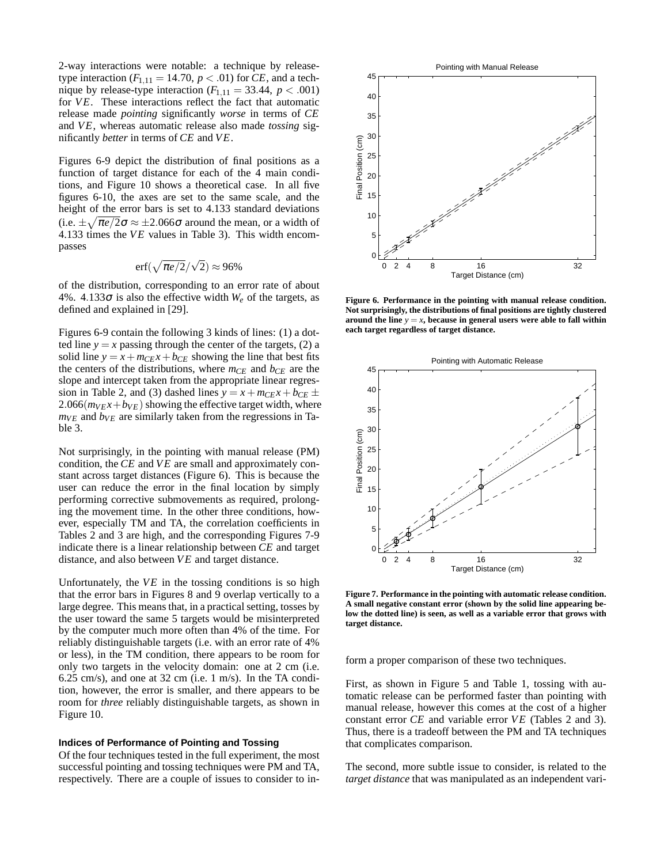2-way interactions were notable: a technique by releasetype interaction  $(F_{1,11} = 14.70, p < .01)$  for *CE*, and a technique by release-type interaction  $(F_{1,11} = 33.44, p < .001)$ for *VE*. These interactions reflect the fact that automatic release made *pointing* significantly *worse* in terms of *CE* and *VE*, whereas automatic release also made *tossing* significantly *better* in terms of *CE* and *V E*.

Figures 6-9 depict the distribution of final positions as a function of target distance for each of the 4 main conditions, and Figure 10 shows a theoretical case. In all five figures 6-10, the axes are set to the same scale, and the height of the error bars is set to 4.133 standard deviations (i.e.  $\pm \sqrt{\pi e/2} \sigma \approx \pm 2.066 \sigma$  around the mean, or a width of 4.133 times the *VE* values in Table 3). This width encompasses

$$
\mathrm{erf}(\sqrt{\pi e/2}/\sqrt{2}) \approx 96\%
$$

of the distribution, corresponding to an error rate of about 4%. 4.133 $\sigma$  is also the effective width  $W_e$  of the targets, as defined and explained in [29].

Figures 6-9 contain the following 3 kinds of lines: (1) a dotted line  $y = x$  passing through the center of the targets, (2) a solid line  $y = x + m_{CE}x + b_{CE}$  showing the line that best fits the centers of the distributions, where *mCE* and *bCE* are the slope and intercept taken from the appropriate linear regression in Table 2, and (3) dashed lines  $y = x + m_{CE}x + b_{CE} \pm$ 2.066( $m_{V}x + b_{V}$ ) showing the effective target width, where  $m_{VE}$  and  $b_{VE}$  are similarly taken from the regressions in Table 3.

Not surprisingly, in the pointing with manual release (PM) condition, the *CE* and *VE* are small and approximately constant across target distances (Figure 6). This is because the user can reduce the error in the final location by simply performing corrective submovements as required, prolonging the movement time. In the other three conditions, however, especially TM and TA, the correlation coefficients in Tables 2 and 3 are high, and the corresponding Figures 7-9 indicate there is a linear relationship between *CE* and target distance, and also between *VE* and target distance.

Unfortunately, the  $VE$  in the tossing conditions is so high that the error bars in Figures 8 and 9 overlap vertically to a large degree. This means that, in a practical setting, tosses by the user toward the same 5 targets would be misinterpreted by the computer much more often than 4% of the time. For reliably distinguishable targets (i.e. with an error rate of 4% or less), in the TM condition, there appears to be room for only two targets in the velocity domain: one at 2 cm (i.e. 6.25 cm/s), and one at 32 cm (i.e. 1 m/s). In the TA condition, however, the error is smaller, and there appears to be room for *three* reliably distinguishable targets, as shown in Figure 10.

#### **Indices of Performance of Pointing and Tossing**

Of the four techniques tested in the full experiment, the most successful pointing and tossing techniques were PM and TA, respectively. There are a couple of issues to consider to in-



**Figure 6. Performance in the pointing with manual release condition. Not surprisingly, the distributions of final positions are tightly clustered around the line**  $y = x$ , because in general users were able to fall within **each target regardless of target distance.**



**Figure 7. Performance in the pointing with automatic release condition. A small negative constant error (shown by the solid line appearing below the dotted line) is seen, as well as a variable error that grows with target distance.**

form a proper comparison of these two techniques.

First, as shown in Figure 5 and Table 1, tossing with automatic release can be performed faster than pointing with manual release, however this comes at the cost of a higher constant error *CE* and variable error *VE* (Tables 2 and 3). Thus, there is a tradeoff between the PM and TA techniques that complicates comparison.

The second, more subtle issue to consider, is related to the *target distance* that was manipulated as an independent vari-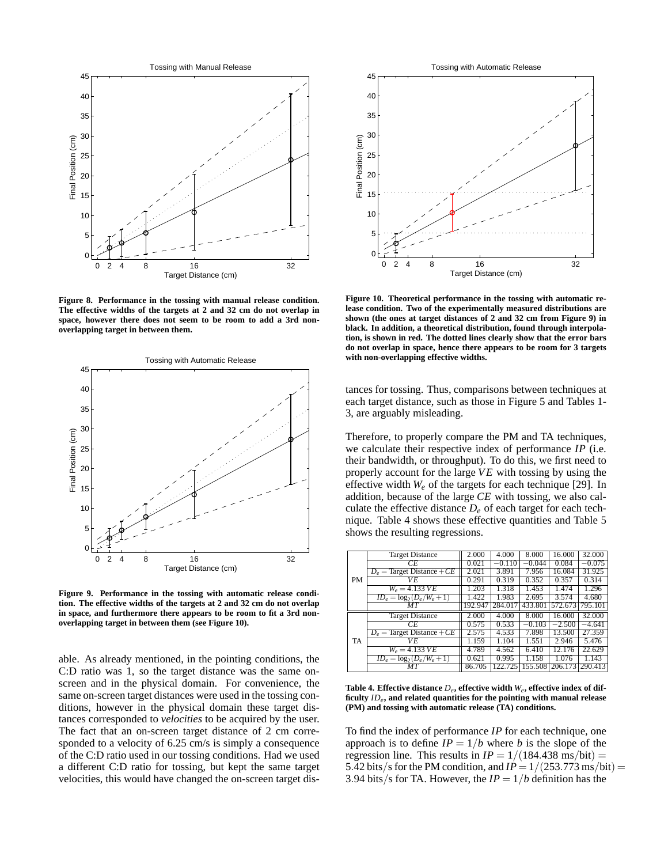

**Figure 8. Performance in the tossing with manual release condition. The effective widths of the targets at 2 and 32 cm do not overlap in space, however there does not seem to be room to add a 3rd nonoverlapping target in between them.**



**Figure 9. Performance in the tossing with automatic release condition. The effective widths of the targets at 2 and 32 cm do not overlap in space, and furthermore there appears to be room to fit a 3rd nonoverlapping target in between them (see Figure 10).**

able. As already mentioned, in the pointing conditions, the C:D ratio was 1, so the target distance was the same onscreen and in the physical domain. For convenience, the same on-screen target distances were used in the tossing conditions, however in the physical domain these target distances corresponded to *velocities* to be acquired by the user. The fact that an on-screen target distance of 2 cm corresponded to a velocity of 6.25 cm/s is simply a consequence of the C:D ratio used in our tossing conditions. Had we used a different C:D ratio for tossing, but kept the same target velocities, this would have changed the on-screen target dis-



**Figure 10. Theoretical performance in the tossing with automatic release condition. Two of the experimentally measured distributions are shown (the ones at target distances of 2 and 32 cm from Figure 9) in black. In addition, a theoretical distribution, found through interpolation, is shown in red. The dotted lines clearly show that the error bars do not overlap in space, hence there appears to be room for 3 targets with non-overlapping effective widths.**

tances for tossing. Thus, comparisons between techniques at each target distance, such as those in Figure 5 and Tables 1- 3, are arguably misleading.

Therefore, to properly compare the PM and TA techniques, we calculate their respective index of performance *IP* (i.e. their bandwidth, or throughput). To do this, we first need to properly account for the large *V E* with tossing by using the effective width *W<sup>e</sup>* of the targets for each technique [29]. In addition, because of the large *CE* with tossing, we also calculate the effective distance  $D_e$  of each target for each technique. Table 4 shows these effective quantities and Table 5 shows the resulting regressions.

|           | <b>Target Distance</b>       | 2.000   | 4.000    | 8.000    | 16.000   | 32.000   |
|-----------|------------------------------|---------|----------|----------|----------|----------|
|           | СE                           | 0.021   | $-0.110$ | $-0.044$ | 0.084    | $-0.075$ |
|           | $D_e$ = Target Distance + CE | 2.021   | 3.891    | 7.956    | 16.084   | 31.925   |
| <b>PM</b> | VE.                          | 0.291   | 0.319    | 0.352    | 0.357    | 0.314    |
|           | $W_e = 4.133 \, VE$          | 1.203   | 1.318    | 1.453    | 1.474    | 1.296    |
|           | $ID_e = \log_2(D_e/W_e + 1)$ | 1.422   | 1.983    | 2.695    | 3.574    | 4.680    |
|           | MТ                           | 192.947 | 284.017  | 433.801  | 572.673  | 795.101  |
|           |                              |         |          |          |          |          |
|           | <b>Target Distance</b>       | 2.000   | 4.000    | 8.000    | 16.000   | 32.000   |
|           | CE                           | 0.575   | 0.533    | $-0.103$ | $-2.500$ | $-4.641$ |
|           | $D_e$ = Target Distance + CE | 2.575   | 4.533    | 7.898    | 13.500   | 27.359   |
| TA        | V E                          | 1.159   | 1.104    | 1.551    | 2.946    | 5.476    |
|           | $W_e = 4.133 \, V E$         | 4.789   | 4.562    | 6.410    | 12.176   | 22.629   |
|           | $ID_e = \log_2(D_e/W_e + 1)$ | 0.621   | 0.995    | 1.158    | 1.076    | 1.143    |

Table 4. Effective distance  $D_e$ , effective width  $W_e$ , effective index of dif**ficulty** *IDe***, and related quantities for the pointing with manual release (PM) and tossing with automatic release (TA) conditions.**

To find the index of performance *IP* for each technique, one approach is to define  $IP = 1/b$  where *b* is the slope of the regression line. This results in  $IP = 1/(184.438 \text{ ms/bit}) =$ 5.42 bits/s for the PM condition, and  $IP = 1/(253.773 \text{ ms/bit}) =$ 3.94 bits/s for TA. However, the  $IP = 1/b$  definition has the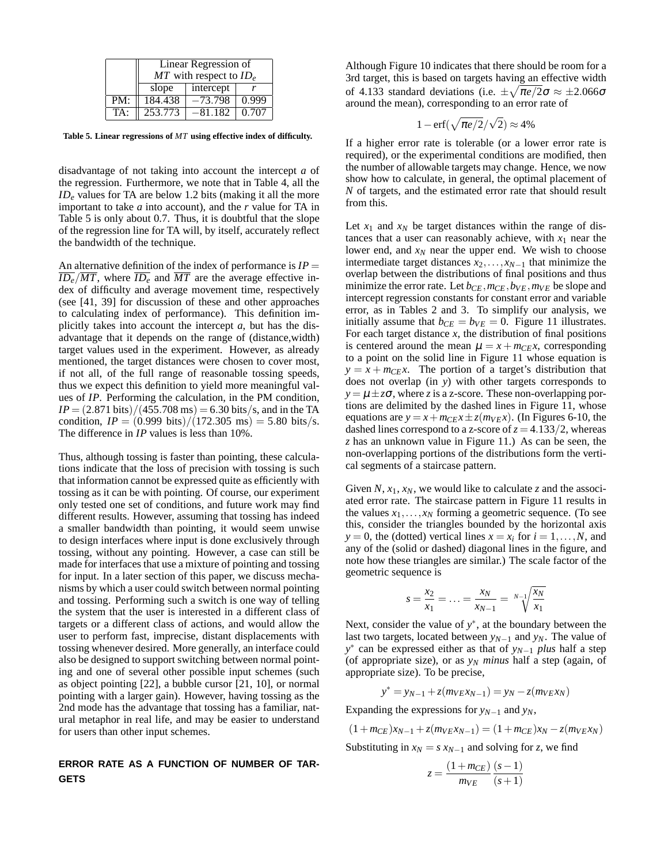|     | Linear Regression of        |           |       |  |  |  |
|-----|-----------------------------|-----------|-------|--|--|--|
|     | $MT$ with respect to $ID_e$ |           |       |  |  |  |
|     | slope                       | intercept |       |  |  |  |
| PM: | 184.438                     | $-73.798$ | 0.999 |  |  |  |
| TA: | 253.773                     | -81.182   | 0.707 |  |  |  |

**Table 5. Linear regressions of** *MT* **using effective index of difficulty.**

disadvantage of not taking into account the intercept *a* of the regression. Furthermore, we note that in Table 4, all the *ID<sup>e</sup>* values for TA are below 1.2 bits (making it all the more important to take *a* into account), and the *r* value for TA in Table 5 is only about 0.7. Thus, it is doubtful that the slope of the regression line for TA will, by itself, accurately reflect the bandwidth of the technique.

An alternative definition of the index of performance is  $IP =$  $\overline{ID_e}/\overline{MT}$ , where  $\overline{ID_e}$  and  $\overline{MT}$  are the average effective index of difficulty and average movement time, respectively (see [41, 39] for discussion of these and other approaches to calculating index of performance). This definition implicitly takes into account the intercept *a*, but has the disadvantage that it depends on the range of (distance,width) target values used in the experiment. However, as already mentioned, the target distances were chosen to cover most, if not all, of the full range of reasonable tossing speeds, thus we expect this definition to yield more meaningful values of *IP*. Performing the calculation, in the PM condition,  $IP = (2.871 \text{ bits})/(455.708 \text{ ms}) = 6.30 \text{ bits/s}$ , and in the TA condition,  $IP = (0.999 \text{ bits})/(172.305 \text{ ms}) = 5.80 \text{ bits/s}.$ The difference in *IP* values is less than 10%.

Thus, although tossing is faster than pointing, these calculations indicate that the loss of precision with tossing is such that information cannot be expressed quite as efficiently with tossing as it can be with pointing. Of course, our experiment only tested one set of conditions, and future work may find different results. However, assuming that tossing has indeed a smaller bandwidth than pointing, it would seem unwise to design interfaces where input is done exclusively through tossing, without any pointing. However, a case can still be made for interfaces that use a mixture of pointing and tossing for input. In a later section of this paper, we discuss mechanisms by which a user could switch between normal pointing and tossing. Performing such a switch is one way of telling the system that the user is interested in a different class of targets or a different class of actions, and would allow the user to perform fast, imprecise, distant displacements with tossing whenever desired. More generally, an interface could also be designed to support switching between normal pointing and one of several other possible input schemes (such as object pointing [22], a bubble cursor [21, 10], or normal pointing with a larger gain). However, having tossing as the 2nd mode has the advantage that tossing has a familiar, natural metaphor in real life, and may be easier to understand for users than other input schemes.

# **ERROR RATE AS A FUNCTION OF NUMBER OF TAR-GETS**

Although Figure 10 indicates that there should be room for a 3rd target, this is based on targets having an effective width of 4.133 standard deviations (i.e.  $\pm \sqrt{\pi e/2}\sigma \approx \pm 2.066\sigma$ around the mean), corresponding to an error rate of

$$
1-\text{erf}(\sqrt{\pi e/2}/\sqrt{2})\approx 4\%
$$

If a higher error rate is tolerable (or a lower error rate is required), or the experimental conditions are modified, then the number of allowable targets may change. Hence, we now show how to calculate, in general, the optimal placement of *N* of targets, and the estimated error rate that should result from this.

Let  $x_1$  and  $x_N$  be target distances within the range of distances that a user can reasonably achieve, with  $x_1$  near the lower end, and  $x_N$  near the upper end. We wish to choose intermediate target distances *x*2,..., *xN*−<sup>1</sup> that minimize the overlap between the distributions of final positions and thus minimize the error rate. Let  $b_{CE}, m_{CE}, b_{VE}, m_{VE}$  be slope and intercept regression constants for constant error and variable error, as in Tables 2 and 3. To simplify our analysis, we initially assume that  $b_{CE} = b_{VE} = 0$ . Figure 11 illustrates. For each target distance *x*, the distribution of final positions is centered around the mean  $\mu = x + m_{CE}x$ , corresponding to a point on the solid line in Figure 11 whose equation is  $y = x + m_{CE}x$ . The portion of a target's distribution that does not overlap (in *y*) with other targets corresponds to  $y = \mu \pm z\sigma$ , where *z* is a z-score. These non-overlapping portions are delimited by the dashed lines in Figure 11, whose equations are  $y = x + m_{CE}x \pm z(m_{VE}x)$ . (In Figures 6-10, the dashed lines correspond to a z-score of  $z = 4.133/2$ , whereas *z* has an unknown value in Figure 11.) As can be seen, the non-overlapping portions of the distributions form the vertical segments of a staircase pattern.

Given  $N$ ,  $x_1$ ,  $x_N$ , we would like to calculate *z* and the associated error rate. The staircase pattern in Figure 11 results in the values  $x_1, \ldots, x_N$  forming a geometric sequence. (To see this, consider the triangles bounded by the horizontal axis  $y = 0$ , the (dotted) vertical lines  $x = x_i$  for  $i = 1, ..., N$ , and any of the (solid or dashed) diagonal lines in the figure, and note how these triangles are similar.) The scale factor of the geometric sequence is

$$
s = \frac{x_2}{x_1} = \ldots = \frac{x_N}{x_{N-1}} = \sqrt[N-1]{\frac{x_N}{x_1}}
$$

Next, consider the value of  $y^*$ , at the boundary between the last two targets, located between *yN*−<sup>1</sup> and *yN*. The value of *y*<sup>∗</sup> can be expressed either as that of *y<sub>N−1</sub> plus* half a step (of appropriate size), or as  $y_N$  *minus* half a step (again, of appropriate size). To be precise,

$$
y^* = y_{N-1} + z(m_{VEX_{N-1}}) = y_N - z(m_{VEX_{N}})
$$

Expanding the expressions for  $y_{N-1}$  and  $y_N$ ,

$$
(1 + m_{CE})x_{N-1} + z(m_{VE}x_{N-1}) = (1 + m_{CE})x_N - z(m_{VE}x_N)
$$

Substituting in  $x_N = s x_{N-1}$  and solving for *z*, we find

$$
z = \frac{(1 + m_{CE})}{m_{VE}} \frac{(s - 1)}{(s + 1)}
$$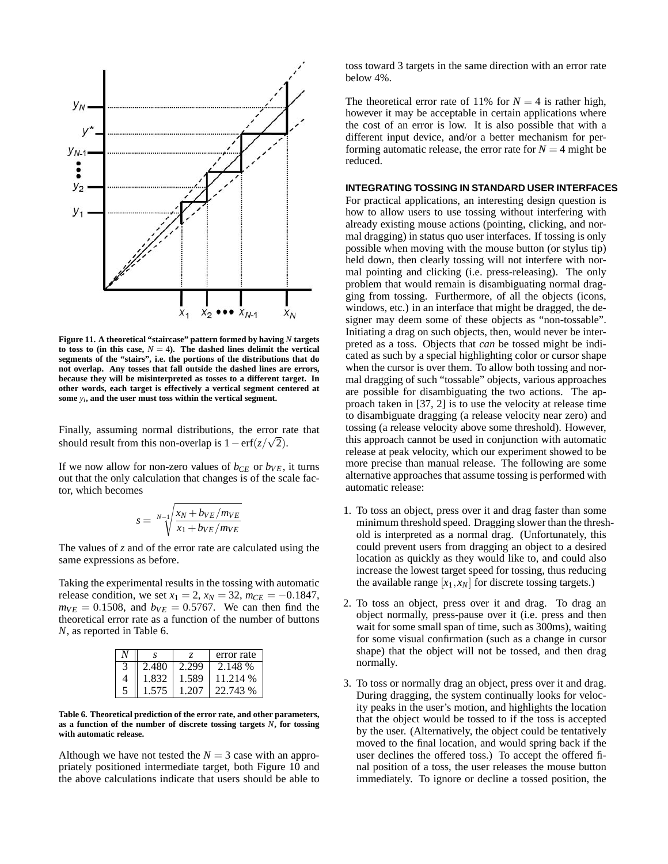

**Figure 11. A theoretical "staircase" pattern formed by having** *N* **targets** to toss to (in this case,  $N = 4$ ). The dashed lines delimit the vertical **segments of the "stairs", i.e. the portions of the distributions that do not overlap. Any tosses that fall outside the dashed lines are errors, because they will be misinterpreted as tosses to a different target. In other words, each target is effectively a vertical segment centered at some** *y<sup>i</sup>* **, and the user must toss within the vertical segment.**

Finally, assuming normal distributions, the error rate that should result from this non-overlap is  $1 - \text{erf}(z/\sqrt{2})$ .

If we now allow for non-zero values of  $b_{CE}$  or  $b_{VE}$ , it turns out that the only calculation that changes is of the scale factor, which becomes

$$
s = \sqrt[N-1]{\frac{x_N + b_{VE}/m_{VE}}{x_1 + b_{VE}/m_{VE}}}
$$

The values of *z* and of the error rate are calculated using the same expressions as before.

Taking the experimental results in the tossing with automatic release condition, we set  $x_1 = 2$ ,  $x_N = 32$ ,  $m_{CE} = -0.1847$ ,  $m_{VE} = 0.1508$ , and  $b_{VE} = 0.5767$ . We can then find the theoretical error rate as a function of the number of buttons *N*, as reported in Table 6.

|   |       |       | error rate |
|---|-------|-------|------------|
|   | 2.480 | 2.299 | 2.148 %    |
| 4 | 1.832 | 1.589 | 11.214 %   |
|   | 1 575 | 1.207 | 22.743 %   |

**Table 6. Theoretical prediction of the error rate, and other parameters, as a function of the number of discrete tossing targets** *N***, for tossing with automatic release.**

Although we have not tested the  $N = 3$  case with an appropriately positioned intermediate target, both Figure 10 and the above calculations indicate that users should be able to toss toward 3 targets in the same direction with an error rate below 4%.

The theoretical error rate of 11% for  $N = 4$  is rather high, however it may be acceptable in certain applications where the cost of an error is low. It is also possible that with a different input device, and/or a better mechanism for performing automatic release, the error rate for  $N = 4$  might be reduced.

#### **INTEGRATING TOSSING IN STANDARD USER INTERFACES**

For practical applications, an interesting design question is how to allow users to use tossing without interfering with already existing mouse actions (pointing, clicking, and normal dragging) in status quo user interfaces. If tossing is only possible when moving with the mouse button (or stylus tip) held down, then clearly tossing will not interfere with normal pointing and clicking (i.e. press-releasing). The only problem that would remain is disambiguating normal dragging from tossing. Furthermore, of all the objects (icons, windows, etc.) in an interface that might be dragged, the designer may deem some of these objects as "non-tossable". Initiating a drag on such objects, then, would never be interpreted as a toss. Objects that *can* be tossed might be indicated as such by a special highlighting color or cursor shape when the cursor is over them. To allow both tossing and normal dragging of such "tossable" objects, various approaches are possible for disambiguating the two actions. The approach taken in [37, 2] is to use the velocity at release time to disambiguate dragging (a release velocity near zero) and tossing (a release velocity above some threshold). However, this approach cannot be used in conjunction with automatic release at peak velocity, which our experiment showed to be more precise than manual release. The following are some alternative approaches that assume tossing is performed with automatic release:

- 1. To toss an object, press over it and drag faster than some minimum threshold speed. Dragging slower than the threshold is interpreted as a normal drag. (Unfortunately, this could prevent users from dragging an object to a desired location as quickly as they would like to, and could also increase the lowest target speed for tossing, thus reducing the available range  $[x_1, x_N]$  for discrete tossing targets.)
- 2. To toss an object, press over it and drag. To drag an object normally, press-pause over it (i.e. press and then wait for some small span of time, such as 300ms), waiting for some visual confirmation (such as a change in cursor shape) that the object will not be tossed, and then drag normally.
- 3. To toss or normally drag an object, press over it and drag. During dragging, the system continually looks for velocity peaks in the user's motion, and highlights the location that the object would be tossed to if the toss is accepted by the user. (Alternatively, the object could be tentatively moved to the final location, and would spring back if the user declines the offered toss.) To accept the offered final position of a toss, the user releases the mouse button immediately. To ignore or decline a tossed position, the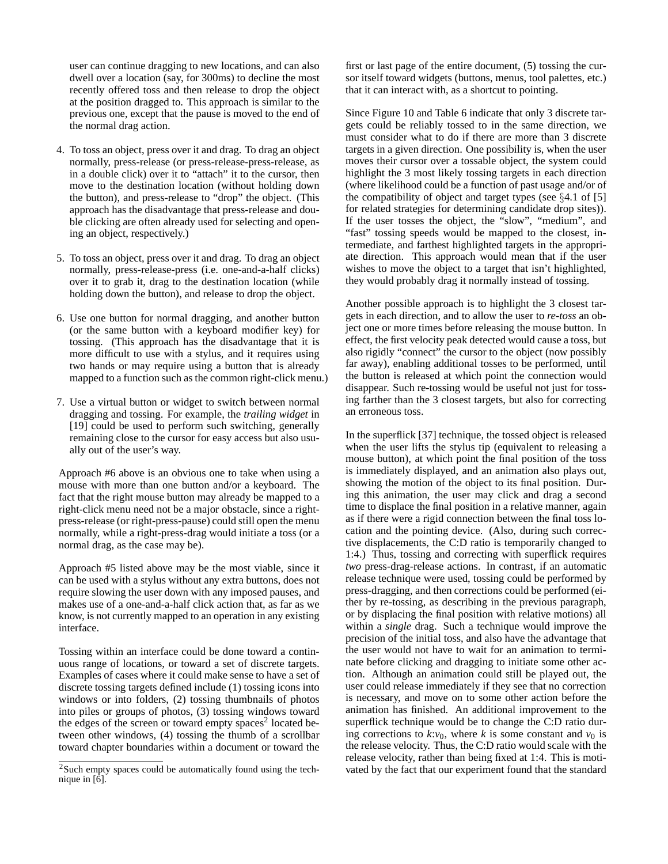user can continue dragging to new locations, and can also dwell over a location (say, for 300ms) to decline the most recently offered toss and then release to drop the object at the position dragged to. This approach is similar to the previous one, except that the pause is moved to the end of the normal drag action.

- 4. To toss an object, press over it and drag. To drag an object normally, press-release (or press-release-press-release, as in a double click) over it to "attach" it to the cursor, then move to the destination location (without holding down the button), and press-release to "drop" the object. (This approach has the disadvantage that press-release and double clicking are often already used for selecting and opening an object, respectively.)
- 5. To toss an object, press over it and drag. To drag an object normally, press-release-press (i.e. one-and-a-half clicks) over it to grab it, drag to the destination location (while holding down the button), and release to drop the object.
- 6. Use one button for normal dragging, and another button (or the same button with a keyboard modifier key) for tossing. (This approach has the disadvantage that it is more difficult to use with a stylus, and it requires using two hands or may require using a button that is already mapped to a function such as the common right-click menu.)
- 7. Use a virtual button or widget to switch between normal dragging and tossing. For example, the *trailing widget* in [19] could be used to perform such switching, generally remaining close to the cursor for easy access but also usually out of the user's way.

Approach #6 above is an obvious one to take when using a mouse with more than one button and/or a keyboard. The fact that the right mouse button may already be mapped to a right-click menu need not be a major obstacle, since a rightpress-release (or right-press-pause) could still open the menu normally, while a right-press-drag would initiate a toss (or a normal drag, as the case may be).

Approach #5 listed above may be the most viable, since it can be used with a stylus without any extra buttons, does not require slowing the user down with any imposed pauses, and makes use of a one-and-a-half click action that, as far as we know, is not currently mapped to an operation in any existing interface.

Tossing within an interface could be done toward a continuous range of locations, or toward a set of discrete targets. Examples of cases where it could make sense to have a set of discrete tossing targets defined include (1) tossing icons into windows or into folders, (2) tossing thumbnails of photos into piles or groups of photos, (3) tossing windows toward the edges of the screen or toward empty spaces<sup>2</sup> located between other windows, (4) tossing the thumb of a scrollbar toward chapter boundaries within a document or toward the first or last page of the entire document, (5) tossing the cursor itself toward widgets (buttons, menus, tool palettes, etc.) that it can interact with, as a shortcut to pointing.

Since Figure 10 and Table 6 indicate that only 3 discrete targets could be reliably tossed to in the same direction, we must consider what to do if there are more than 3 discrete targets in a given direction. One possibility is, when the user moves their cursor over a tossable object, the system could highlight the 3 most likely tossing targets in each direction (where likelihood could be a function of past usage and/or of the compatibility of object and target types (see §4.1 of [5] for related strategies for determining candidate drop sites)). If the user tosses the object, the "slow", "medium", and "fast" tossing speeds would be mapped to the closest, intermediate, and farthest highlighted targets in the appropriate direction. This approach would mean that if the user wishes to move the object to a target that isn't highlighted, they would probably drag it normally instead of tossing.

Another possible approach is to highlight the 3 closest targets in each direction, and to allow the user to *re-toss* an object one or more times before releasing the mouse button. In effect, the first velocity peak detected would cause a toss, but also rigidly "connect" the cursor to the object (now possibly far away), enabling additional tosses to be performed, until the button is released at which point the connection would disappear. Such re-tossing would be useful not just for tossing farther than the 3 closest targets, but also for correcting an erroneous toss.

In the superflick [37] technique, the tossed object is released when the user lifts the stylus tip (equivalent to releasing a mouse button), at which point the final position of the toss is immediately displayed, and an animation also plays out, showing the motion of the object to its final position. During this animation, the user may click and drag a second time to displace the final position in a relative manner, again as if there were a rigid connection between the final toss location and the pointing device. (Also, during such corrective displacements, the C:D ratio is temporarily changed to 1:4.) Thus, tossing and correcting with superflick requires *two* press-drag-release actions. In contrast, if an automatic release technique were used, tossing could be performed by press-dragging, and then corrections could be performed (either by re-tossing, as describing in the previous paragraph, or by displacing the final position with relative motions) all within a *single* drag. Such a technique would improve the precision of the initial toss, and also have the advantage that the user would not have to wait for an animation to terminate before clicking and dragging to initiate some other action. Although an animation could still be played out, the user could release immediately if they see that no correction is necessary, and move on to some other action before the animation has finished. An additional improvement to the superflick technique would be to change the C:D ratio during corrections to  $k$ :*v*<sub>0</sub>, where *k* is some constant and *v*<sub>0</sub> is the release velocity. Thus, the C:D ratio would scale with the release velocity, rather than being fixed at 1:4. This is motivated by the fact that our experiment found that the standard

<sup>&</sup>lt;sup>2</sup>Such empty spaces could be automatically found using the technique in  $\left[\hat{6}\right]$ .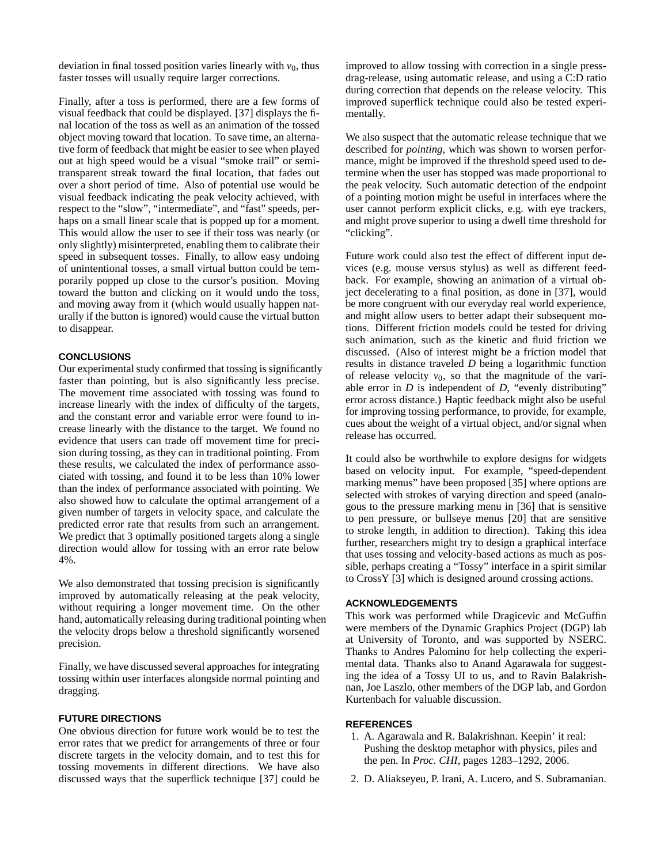deviation in final tossed position varies linearly with  $v_0$ , thus faster tosses will usually require larger corrections.

Finally, after a toss is performed, there are a few forms of visual feedback that could be displayed. [37] displays the final location of the toss as well as an animation of the tossed object moving toward that location. To save time, an alternative form of feedback that might be easier to see when played out at high speed would be a visual "smoke trail" or semitransparent streak toward the final location, that fades out over a short period of time. Also of potential use would be visual feedback indicating the peak velocity achieved, with respect to the "slow", "intermediate", and "fast" speeds, perhaps on a small linear scale that is popped up for a moment. This would allow the user to see if their toss was nearly (or only slightly) misinterpreted, enabling them to calibrate their speed in subsequent tosses. Finally, to allow easy undoing of unintentional tosses, a small virtual button could be temporarily popped up close to the cursor's position. Moving toward the button and clicking on it would undo the toss, and moving away from it (which would usually happen naturally if the button is ignored) would cause the virtual button to disappear.

#### **CONCLUSIONS**

Our experimental study confirmed that tossing is significantly faster than pointing, but is also significantly less precise. The movement time associated with tossing was found to increase linearly with the index of difficulty of the targets, and the constant error and variable error were found to increase linearly with the distance to the target. We found no evidence that users can trade off movement time for precision during tossing, as they can in traditional pointing. From these results, we calculated the index of performance associated with tossing, and found it to be less than 10% lower than the index of performance associated with pointing. We also showed how to calculate the optimal arrangement of a given number of targets in velocity space, and calculate the predicted error rate that results from such an arrangement. We predict that 3 optimally positioned targets along a single direction would allow for tossing with an error rate below 4%.

We also demonstrated that tossing precision is significantly improved by automatically releasing at the peak velocity, without requiring a longer movement time. On the other hand, automatically releasing during traditional pointing when the velocity drops below a threshold significantly worsened precision.

Finally, we have discussed several approaches for integrating tossing within user interfaces alongside normal pointing and dragging.

# **FUTURE DIRECTIONS**

One obvious direction for future work would be to test the error rates that we predict for arrangements of three or four discrete targets in the velocity domain, and to test this for tossing movements in different directions. We have also discussed ways that the superflick technique [37] could be improved to allow tossing with correction in a single pressdrag-release, using automatic release, and using a C:D ratio during correction that depends on the release velocity. This improved superflick technique could also be tested experimentally.

We also suspect that the automatic release technique that we described for *pointing*, which was shown to worsen performance, might be improved if the threshold speed used to determine when the user has stopped was made proportional to the peak velocity. Such automatic detection of the endpoint of a pointing motion might be useful in interfaces where the user cannot perform explicit clicks, e.g. with eye trackers, and might prove superior to using a dwell time threshold for "clicking".

Future work could also test the effect of different input devices (e.g. mouse versus stylus) as well as different feedback. For example, showing an animation of a virtual object decelerating to a final position, as done in [37], would be more congruent with our everyday real world experience, and might allow users to better adapt their subsequent motions. Different friction models could be tested for driving such animation, such as the kinetic and fluid friction we discussed. (Also of interest might be a friction model that results in distance traveled *D* being a logarithmic function of release velocity  $v_0$ , so that the magnitude of the variable error in *D* is independent of *D*, "evenly distributing" error across distance.) Haptic feedback might also be useful for improving tossing performance, to provide, for example, cues about the weight of a virtual object, and/or signal when release has occurred.

It could also be worthwhile to explore designs for widgets based on velocity input. For example, "speed-dependent marking menus" have been proposed [35] where options are selected with strokes of varying direction and speed (analogous to the pressure marking menu in [36] that is sensitive to pen pressure, or bullseye menus [20] that are sensitive to stroke length, in addition to direction). Taking this idea further, researchers might try to design a graphical interface that uses tossing and velocity-based actions as much as possible, perhaps creating a "Tossy" interface in a spirit similar to CrossY [3] which is designed around crossing actions.

#### **ACKNOWLEDGEMENTS**

This work was performed while Dragicevic and McGuffin were members of the Dynamic Graphics Project (DGP) lab at University of Toronto, and was supported by NSERC. Thanks to Andres Palomino for help collecting the experimental data. Thanks also to Anand Agarawala for suggesting the idea of a Tossy UI to us, and to Ravin Balakrishnan, Joe Laszlo, other members of the DGP lab, and Gordon Kurtenbach for valuable discussion.

#### **REFERENCES**

- 1. A. Agarawala and R. Balakrishnan. Keepin' it real: Pushing the desktop metaphor with physics, piles and the pen. In *Proc. CHI*, pages 1283–1292, 2006.
- 2. D. Aliakseyeu, P. Irani, A. Lucero, and S. Subramanian.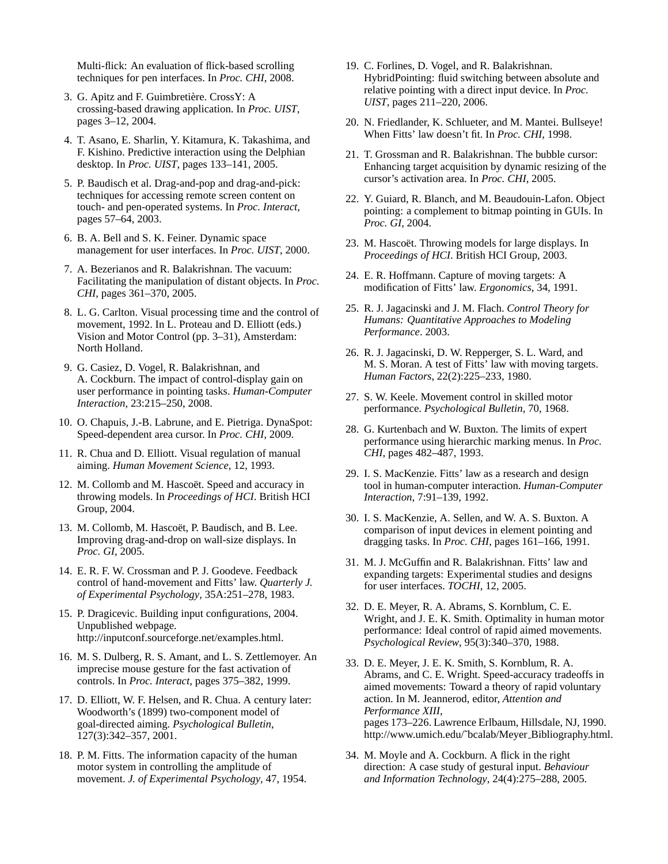Multi-flick: An evaluation of flick-based scrolling techniques for pen interfaces. In *Proc. CHI*, 2008.

- 3. G. Apitz and F. Guimbretière. CrossY: A crossing-based drawing application. In *Proc. UIST*, pages 3–12, 2004.
- 4. T. Asano, E. Sharlin, Y. Kitamura, K. Takashima, and F. Kishino. Predictive interaction using the Delphian desktop. In *Proc. UIST*, pages 133–141, 2005.
- 5. P. Baudisch et al. Drag-and-pop and drag-and-pick: techniques for accessing remote screen content on touch- and pen-operated systems. In *Proc. Interact*, pages 57–64, 2003.
- 6. B. A. Bell and S. K. Feiner. Dynamic space management for user interfaces. In *Proc. UIST*, 2000.
- 7. A. Bezerianos and R. Balakrishnan. The vacuum: Facilitating the manipulation of distant objects. In *Proc. CHI*, pages 361–370, 2005.
- 8. L. G. Carlton. Visual processing time and the control of movement, 1992. In L. Proteau and D. Elliott (eds.) Vision and Motor Control (pp. 3–31), Amsterdam: North Holland.
- 9. G. Casiez, D. Vogel, R. Balakrishnan, and A. Cockburn. The impact of control-display gain on user performance in pointing tasks. *Human-Computer Interaction*, 23:215–250, 2008.
- 10. O. Chapuis, J.-B. Labrune, and E. Pietriga. DynaSpot: Speed-dependent area cursor. In *Proc. CHI*, 2009.
- 11. R. Chua and D. Elliott. Visual regulation of manual aiming. *Human Movement Science*, 12, 1993.
- 12. M. Collomb and M. Hascoët. Speed and accuracy in throwing models. In *Proceedings of HCI*. British HCI Group, 2004.
- 13. M. Collomb, M. Hascoët, P. Baudisch, and B. Lee. Improving drag-and-drop on wall-size displays. In *Proc. GI*, 2005.
- 14. E. R. F. W. Crossman and P. J. Goodeve. Feedback control of hand-movement and Fitts' law. *Quarterly J. of Experimental Psychology*, 35A:251–278, 1983.
- 15. P. Dragicevic. Building input configurations, 2004. Unpublished webpage. http://inputconf.sourceforge.net/examples.html.
- 16. M. S. Dulberg, R. S. Amant, and L. S. Zettlemoyer. An imprecise mouse gesture for the fast activation of controls. In *Proc. Interact*, pages 375–382, 1999.
- 17. D. Elliott, W. F. Helsen, and R. Chua. A century later: Woodworth's (1899) two-component model of goal-directed aiming. *Psychological Bulletin*, 127(3):342–357, 2001.
- 18. P. M. Fitts. The information capacity of the human motor system in controlling the amplitude of movement. *J. of Experimental Psychology*, 47, 1954.
- 19. C. Forlines, D. Vogel, and R. Balakrishnan. HybridPointing: fluid switching between absolute and relative pointing with a direct input device. In *Proc. UIST*, pages 211–220, 2006.
- 20. N. Friedlander, K. Schlueter, and M. Mantei. Bullseye! When Fitts' law doesn't fit. In *Proc. CHI*, 1998.
- 21. T. Grossman and R. Balakrishnan. The bubble cursor: Enhancing target acquisition by dynamic resizing of the cursor's activation area. In *Proc. CHI*, 2005.
- 22. Y. Guiard, R. Blanch, and M. Beaudouin-Lafon. Object pointing: a complement to bitmap pointing in GUIs. In *Proc. GI*, 2004.
- 23. M. Hascoet. Throwing models for large displays. In *Proceedings of HCI*. British HCI Group, 2003.
- 24. E. R. Hoffmann. Capture of moving targets: A modification of Fitts' law. *Ergonomics*, 34, 1991.
- 25. R. J. Jagacinski and J. M. Flach. *Control Theory for Humans: Quantitative Approaches to Modeling Performance*. 2003.
- 26. R. J. Jagacinski, D. W. Repperger, S. L. Ward, and M. S. Moran. A test of Fitts' law with moving targets. *Human Factors*, 22(2):225–233, 1980.
- 27. S. W. Keele. Movement control in skilled motor performance. *Psychological Bulletin*, 70, 1968.
- 28. G. Kurtenbach and W. Buxton. The limits of expert performance using hierarchic marking menus. In *Proc. CHI*, pages 482–487, 1993.
- 29. I. S. MacKenzie. Fitts' law as a research and design tool in human-computer interaction. *Human-Computer Interaction*, 7:91–139, 1992.
- 30. I. S. MacKenzie, A. Sellen, and W. A. S. Buxton. A comparison of input devices in element pointing and dragging tasks. In *Proc. CHI*, pages 161–166, 1991.
- 31. M. J. McGuffin and R. Balakrishnan. Fitts' law and expanding targets: Experimental studies and designs for user interfaces. *TOCHI*, 12, 2005.
- 32. D. E. Meyer, R. A. Abrams, S. Kornblum, C. E. Wright, and J. E. K. Smith. Optimality in human motor performance: Ideal control of rapid aimed movements. *Psychological Review*, 95(3):340–370, 1988.
- 33. D. E. Meyer, J. E. K. Smith, S. Kornblum, R. A. Abrams, and C. E. Wright. Speed-accuracy tradeoffs in aimed movements: Toward a theory of rapid voluntary action. In M. Jeannerod, editor, *Attention and Performance XIII*, pages 173–226. Lawrence Erlbaum, Hillsdale, NJ, 1990. http://www.umich.edu/˜bcalab/Meyer Bibliography.html.
- 34. M. Moyle and A. Cockburn. A flick in the right direction: A case study of gestural input. *Behaviour and Information Technology*, 24(4):275–288, 2005.